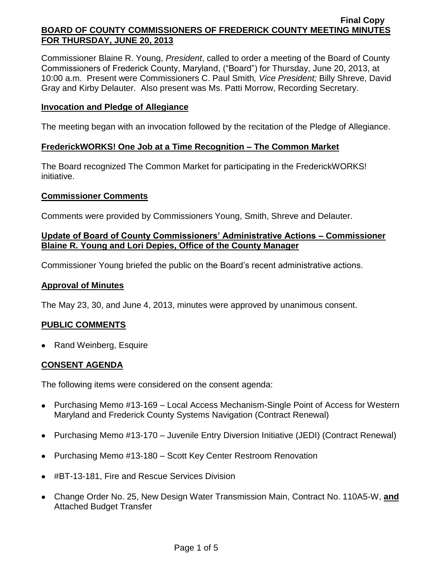Commissioner Blaine R. Young, *President*, called to order a meeting of the Board of County Commissioners of Frederick County, Maryland, ("Board") for Thursday, June 20, 2013, at 10:00 a.m. Present were Commissioners C. Paul Smith*, Vice President;* Billy Shreve, David Gray and Kirby Delauter. Also present was Ms. Patti Morrow, Recording Secretary.

### **Invocation and Pledge of Allegiance**

The meeting began with an invocation followed by the recitation of the Pledge of Allegiance.

## **FrederickWORKS! One Job at a Time Recognition – The Common Market**

The Board recognized The Common Market for participating in the FrederickWORKS! initiative.

### **Commissioner Comments**

Comments were provided by Commissioners Young, Smith, Shreve and Delauter.

## **Update of Board of County Commissioners' Administrative Actions – Commissioner Blaine R. Young and Lori Depies, Office of the County Manager**

Commissioner Young briefed the public on the Board's recent administrative actions.

### **Approval of Minutes**

The May 23, 30, and June 4, 2013, minutes were approved by unanimous consent.

# **PUBLIC COMMENTS**

• Rand Weinberg, Esquire

# **CONSENT AGENDA**

The following items were considered on the consent agenda:

- Purchasing Memo #13-169 Local Access Mechanism-Single Point of Access for Western Maryland and Frederick County Systems Navigation (Contract Renewal)
- Purchasing Memo #13-170 Juvenile Entry Diversion Initiative (JEDI) (Contract Renewal)
- Purchasing Memo #13-180 Scott Key Center Restroom Renovation
- #BT-13-181, Fire and Rescue Services Division
- Change Order No. 25, New Design Water Transmission Main, Contract No. 110A5-W, **and** Attached Budget Transfer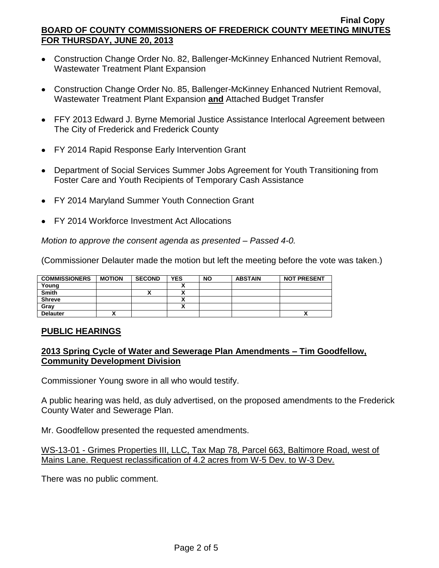- Construction Change Order No. 82, Ballenger-McKinney Enhanced Nutrient Removal, Wastewater Treatment Plant Expansion
- Construction Change Order No. 85, Ballenger-McKinney Enhanced Nutrient Removal, Wastewater Treatment Plant Expansion **and** Attached Budget Transfer
- FFY 2013 Edward J. Byrne Memorial Justice Assistance Interlocal Agreement between The City of Frederick and Frederick County
- FY 2014 Rapid Response Early Intervention Grant
- Department of Social Services Summer Jobs Agreement for Youth Transitioning from Foster Care and Youth Recipients of Temporary Cash Assistance
- FY 2014 Maryland Summer Youth Connection Grant
- FY 2014 Workforce Investment Act Allocations

*Motion to approve the consent agenda as presented – Passed 4-0.*

(Commissioner Delauter made the motion but left the meeting before the vote was taken.)

| <b>COMMISSIONERS</b> | <b>MOTION</b> | <b>SECOND</b> | <b>YES</b> | <b>NO</b> | <b>ABSTAIN</b> | <b>NOT PRESENT</b> |
|----------------------|---------------|---------------|------------|-----------|----------------|--------------------|
| Young                |               |               |            |           |                |                    |
| <b>Smith</b>         |               |               |            |           |                |                    |
| <b>Shreve</b>        |               |               |            |           |                |                    |
| Gray                 |               |               |            |           |                |                    |
| <b>Delauter</b>      |               |               |            |           |                | ~                  |

# **PUBLIC HEARINGS**

# **2013 Spring Cycle of Water and Sewerage Plan Amendments – Tim Goodfellow, Community Development Division**

Commissioner Young swore in all who would testify.

A public hearing was held, as duly advertised, on the proposed amendments to the Frederick County Water and Sewerage Plan.

Mr. Goodfellow presented the requested amendments.

WS-13-01 - Grimes Properties III, LLC, Tax Map 78, Parcel 663, Baltimore Road, west of Mains Lane. Request reclassification of 4.2 acres from W-5 Dev. to W-3 Dev.

There was no public comment.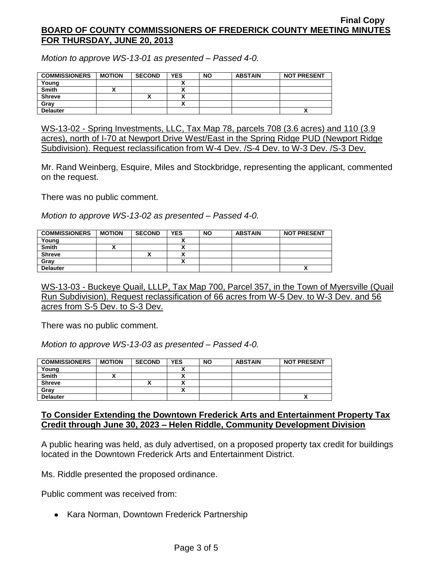*Motion to approve WS-13-01 as presented – Passed 4-0.*

| <b>COMMISSIONERS</b> | <b>MOTION</b> | <b>SECOND</b> | <b>YES</b> | <b>NO</b> | <b>ABSTAIN</b> | <b>NOT PRESENT</b> |
|----------------------|---------------|---------------|------------|-----------|----------------|--------------------|
| Young                |               |               |            |           |                |                    |
| <b>Smith</b>         |               |               |            |           |                |                    |
| <b>Shreve</b>        |               |               |            |           |                |                    |
| Grav                 |               |               |            |           |                |                    |
| <b>Delauter</b>      |               |               |            |           |                | ~                  |

WS-13-02 - Spring Investments, LLC, Tax Map 78, parcels 708 (3.6 acres) and 110 (3.9 acres), north of I-70 at Newport Drive West/East in the Spring Ridge PUD (Newport Ridge Subdivision). Request reclassification from W-4 Dev. /S-4 Dev. to W-3 Dev. /S-3 Dev.

Mr. Rand Weinberg, Esquire, Miles and Stockbridge, representing the applicant, commented on the request.

There was no public comment.

*Motion to approve WS-13-02 as presented – Passed 4-0.*

| <b>COMMISSIONERS</b> | <b>MOTION</b> | <b>SECOND</b> | <b>YES</b> | <b>NO</b> | <b>ABSTAIN</b> | <b>NOT PRESENT</b> |
|----------------------|---------------|---------------|------------|-----------|----------------|--------------------|
| Young                |               |               |            |           |                |                    |
| <b>Smith</b>         |               |               |            |           |                |                    |
| <b>Shreve</b>        |               |               |            |           |                |                    |
| Gray                 |               |               |            |           |                |                    |
| <b>Delauter</b>      |               |               |            |           |                |                    |

WS-13-03 - Buckeye Quail, LLLP, Tax Map 700, Parcel 357, in the Town of Myersville (Quail Run Subdivision). Request reclassification of 66 acres from W-5 Dev. to W-3 Dev. and 56 acres from S-5 Dev. to S-3 Dev.

There was no public comment.

*Motion to approve WS-13-03 as presented – Passed 4-0.*

| <b>COMMISSIONERS</b> | <b>MOTION</b> | <b>SECOND</b> | <b>YES</b> | <b>NO</b> | <b>ABSTAIN</b> | <b>NOT PRESENT</b> |
|----------------------|---------------|---------------|------------|-----------|----------------|--------------------|
| Young                |               |               |            |           |                |                    |
| <b>Smith</b>         |               |               |            |           |                |                    |
| <b>Shreve</b>        |               | ́             | ~          |           |                |                    |
| Gray                 |               |               |            |           |                |                    |
| <b>Delauter</b>      |               |               |            |           |                | $\mathbf{v}$       |

### **To Consider Extending the Downtown Frederick Arts and Entertainment Property Tax Credit through June 30, 2023 – Helen Riddle, Community Development Division**

A public hearing was held, as duly advertised, on a proposed property tax credit for buildings located in the Downtown Frederick Arts and Entertainment District.

Ms. Riddle presented the proposed ordinance.

Public comment was received from:

• Kara Norman, Downtown Frederick Partnership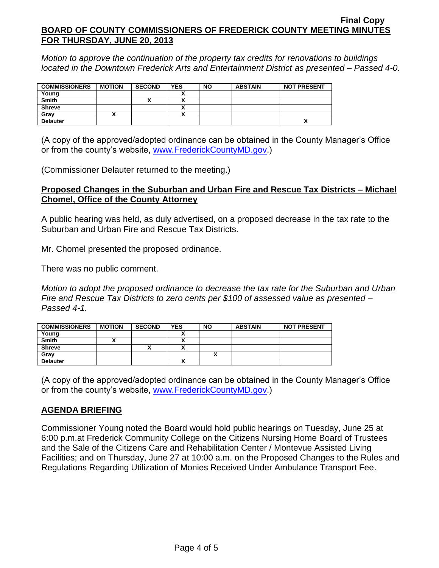*Motion to approve the continuation of the property tax credits for renovations to buildings located in the Downtown Frederick Arts and Entertainment District as presented – Passed 4-0.*

| <b>COMMISSIONERS</b> | <b>MOTION</b> | <b>SECOND</b> | <b>YES</b> | <b>NO</b> | <b>ABSTAIN</b> | <b>NOT PRESENT</b> |
|----------------------|---------------|---------------|------------|-----------|----------------|--------------------|
| Young                |               |               |            |           |                |                    |
| <b>Smith</b>         |               |               |            |           |                |                    |
| <b>Shreve</b>        |               |               |            |           |                |                    |
| Grav                 |               |               |            |           |                |                    |
| <b>Delauter</b>      |               |               |            |           |                | ^                  |

(A copy of the approved/adopted ordinance can be obtained in the County Manager's Office or from the county's website, [www.FrederickCountyMD.gov.](http://www.frederickcountymd.gov/))

(Commissioner Delauter returned to the meeting.)

## **Proposed Changes in the Suburban and Urban Fire and Rescue Tax Districts – Michael Chomel, Office of the County Attorney**

A public hearing was held, as duly advertised, on a proposed decrease in the tax rate to the Suburban and Urban Fire and Rescue Tax Districts.

Mr. Chomel presented the proposed ordinance.

There was no public comment.

*Motion to adopt the proposed ordinance to decrease the tax rate for the Suburban and Urban Fire and Rescue Tax Districts to zero cents per \$100 of assessed value as presented – Passed 4-1.*

| <b>COMMISSIONERS</b> | <b>MOTION</b> | <b>SECOND</b> | <b>YES</b> | <b>NO</b> | <b>ABSTAIN</b> | <b>NOT PRESENT</b> |
|----------------------|---------------|---------------|------------|-----------|----------------|--------------------|
| Young                |               |               |            |           |                |                    |
| <b>Smith</b>         |               |               |            |           |                |                    |
| <b>Shreve</b>        |               |               |            |           |                |                    |
| Grav                 |               |               |            |           |                |                    |
| <b>Delauter</b>      |               |               |            |           |                |                    |

(A copy of the approved/adopted ordinance can be obtained in the County Manager's Office or from the county's website, [www.FrederickCountyMD.gov.](http://www.frederickcountymd.gov/))

# **AGENDA BRIEFING**

Commissioner Young noted the Board would hold public hearings on Tuesday, June 25 at 6:00 p.m.at Frederick Community College on the Citizens Nursing Home Board of Trustees and the Sale of the Citizens Care and Rehabilitation Center / Montevue Assisted Living Facilities; and on Thursday, June 27 at 10:00 a.m. on the Proposed Changes to the Rules and Regulations Regarding Utilization of Monies Received Under Ambulance Transport Fee.